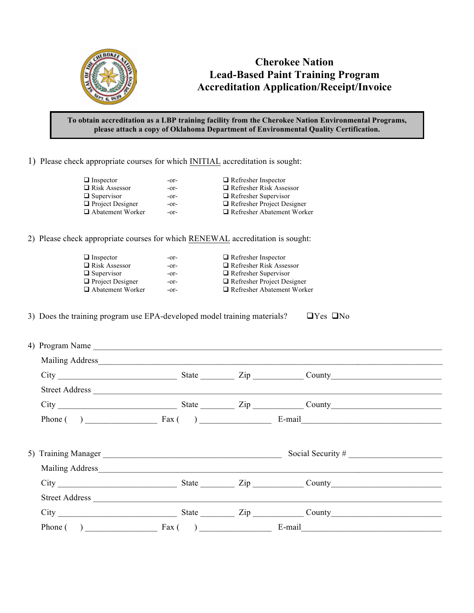

## **Cherokee Nation Lead-Based Paint Training Program Accreditation Application/Receipt/Invoice**

## **To obtain accreditation as a LBP training facility from the Cherokee Nation Environmental Programs, please attach a copy of Oklahoma Department of Environmental Quality Certification.**

1) Please check appropriate courses for which INITIAL accreditation is sought:

| $\Box$ Inspector        | -or- | $\Box$ Refresher Inspector        |
|-------------------------|------|-----------------------------------|
| $\Box$ Risk Assessor    | -or- | $\Box$ Refresher Risk Assessor    |
| $\Box$ Supervisor       | -or- | $\Box$ Refresher Supervisor       |
| $\Box$ Project Designer | -or- | $\Box$ Refresher Project Designer |
| □ Abatement Worker      | -or- | $\Box$ Refresher Abatement Worker |
|                         |      |                                   |

2) Please check appropriate courses for which RENEWAL accreditation is sought:

□ Inspector -or- □ Refresher Inspector → ORE Risk Assessor -or- □ Refresher Risk Assessor **□** Risk Assessor -or- **□** Refresher Risk Assessor **□** Supervisor **□** -or- **□** Refresher Supervisor ! Project Designer -or- ! Refresher Project Designer

-or-  $\Box$  Refresher Supervisor -or-  $\Box$  Refresher Abatement Worker

3) Does the training program use EPA-developed model training materials?  $\Box$  Yes  $\Box$  No

|  |  | City City City County County County |  |
|--|--|-------------------------------------|--|
|  |  |                                     |  |
|  |  | City City County City County County |  |
|  |  | Phone $($ ) Fax $($ ) E-mail E-mail |  |
|  |  |                                     |  |
|  |  |                                     |  |
|  |  |                                     |  |
|  |  | City Curry State Zip County         |  |
|  |  |                                     |  |
|  |  |                                     |  |
|  |  | Phone $( )$ E-mail E-mail           |  |